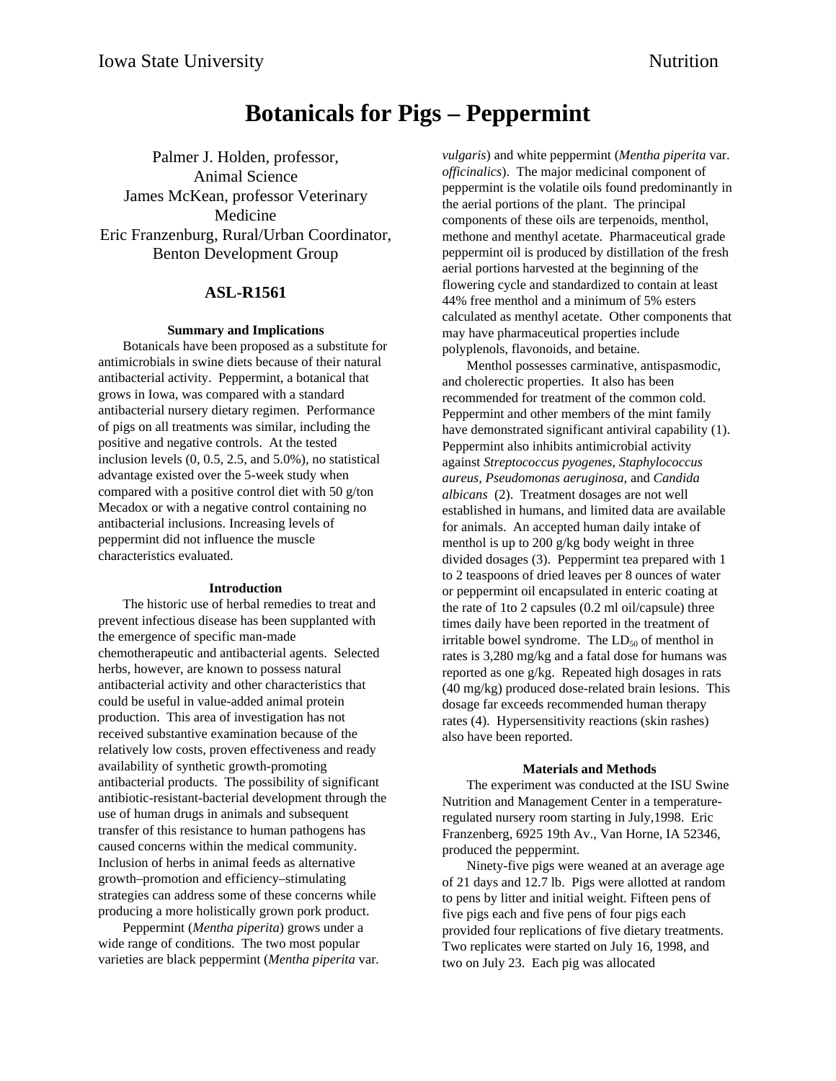# **Botanicals for Pigs – Peppermint**

Palmer J. Holden, professor, Animal Science James McKean, professor Veterinary Medicine Eric Franzenburg, Rural/Urban Coordinator, Benton Development Group

## **ASL-R1561**

### **Summary and Implications**

Botanicals have been proposed as a substitute for antimicrobials in swine diets because of their natural antibacterial activity. Peppermint, a botanical that grows in Iowa, was compared with a standard antibacterial nursery dietary regimen. Performance of pigs on all treatments was similar, including the positive and negative controls. At the tested inclusion levels (0, 0.5, 2.5, and 5.0%), no statistical advantage existed over the 5-week study when compared with a positive control diet with 50 g/ton Mecadox or with a negative control containing no antibacterial inclusions. Increasing levels of peppermint did not influence the muscle characteristics evaluated.

#### **Introduction**

The historic use of herbal remedies to treat and prevent infectious disease has been supplanted with the emergence of specific man-made chemotherapeutic and antibacterial agents. Selected herbs, however, are known to possess natural antibacterial activity and other characteristics that could be useful in value-added animal protein production. This area of investigation has not received substantive examination because of the relatively low costs, proven effectiveness and ready availability of synthetic growth-promoting antibacterial products. The possibility of significant antibiotic-resistant-bacterial development through the use of human drugs in animals and subsequent transfer of this resistance to human pathogens has caused concerns within the medical community. Inclusion of herbs in animal feeds as alternative growth–promotion and efficiency–stimulating strategies can address some of these concerns while producing a more holistically grown pork product.

Peppermint (*Mentha piperita*) grows under a wide range of conditions. The two most popular varieties are black peppermint (*Mentha piperita* var*.* *vulgaris*) and white peppermint (*Mentha piperita* var. *officinalics*). The major medicinal component of peppermint is the volatile oils found predominantly in the aerial portions of the plant. The principal components of these oils are terpenoids, menthol, methone and menthyl acetate. Pharmaceutical grade peppermint oil is produced by distillation of the fresh aerial portions harvested at the beginning of the flowering cycle and standardized to contain at least 44% free menthol and a minimum of 5% esters calculated as menthyl acetate. Other components that may have pharmaceutical properties include polyplenols, flavonoids, and betaine.

Menthol possesses carminative, antispasmodic, and cholerectic properties. It also has been recommended for treatment of the common cold. Peppermint and other members of the mint family have demonstrated significant antiviral capability (1). Peppermint also inhibits antimicrobial activity against *Streptococcus pyogenes, Staphylococcus aureus, Pseudomonas aeruginosa,* and *Candida albicans* (2). Treatment dosages are not well established in humans, and limited data are available for animals. An accepted human daily intake of menthol is up to 200 g/kg body weight in three divided dosages (3). Peppermint tea prepared with 1 to 2 teaspoons of dried leaves per 8 ounces of water or peppermint oil encapsulated in enteric coating at the rate of 1to 2 capsules (0.2 ml oil/capsule) three times daily have been reported in the treatment of irritable bowel syndrome. The  $LD_{50}$  of menthol in rates is 3,280 mg/kg and a fatal dose for humans was reported as one g/kg. Repeated high dosages in rats (40 mg/kg) produced dose-related brain lesions. This dosage far exceeds recommended human therapy rates (4). Hypersensitivity reactions (skin rashes) also have been reported.

#### **Materials and Methods**

The experiment was conducted at the ISU Swine Nutrition and Management Center in a temperatureregulated nursery room starting in July,1998. Eric Franzenberg, 6925 19th Av., Van Horne, IA 52346, produced the peppermint.

Ninety-five pigs were weaned at an average age of 21 days and 12.7 lb. Pigs were allotted at random to pens by litter and initial weight. Fifteen pens of five pigs each and five pens of four pigs each provided four replications of five dietary treatments. Two replicates were started on July 16, 1998, and two on July 23. Each pig was allocated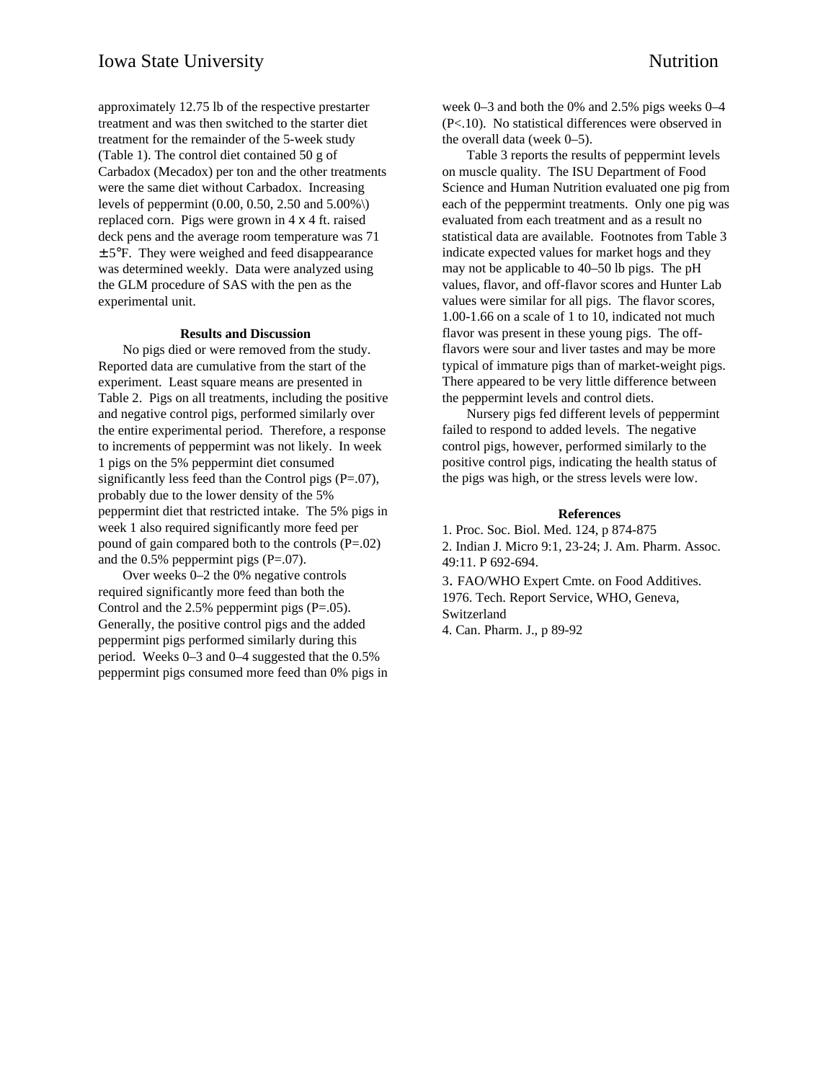approximately 12.75 lb of the respective prestarter treatment and was then switched to the starter diet treatment for the remainder of the 5-week study (Table 1). The control diet contained 50 g of Carbadox (Mecadox) per ton and the other treatments were the same diet without Carbadox. Increasing levels of peppermint  $(0.00, 0.50, 2.50, 5.00\%)$ replaced corn. Pigs were grown in 4 x 4 ft. raised deck pens and the average room temperature was 71  $\pm$  5°F. They were weighed and feed disappearance was determined weekly. Data were analyzed using the GLM procedure of SAS with the pen as the experimental unit.

#### **Results and Discussion**

No pigs died or were removed from the study. Reported data are cumulative from the start of the experiment. Least square means are presented in Table 2. Pigs on all treatments, including the positive and negative control pigs, performed similarly over the entire experimental period. Therefore, a response to increments of peppermint was not likely. In week 1 pigs on the 5% peppermint diet consumed significantly less feed than the Control pigs  $(P=.07)$ , probably due to the lower density of the 5% peppermint diet that restricted intake. The 5% pigs in week 1 also required significantly more feed per pound of gain compared both to the controls  $(P=.02)$ and the  $0.5\%$  peppermint pigs (P=.07).

Over weeks 0–2 the 0% negative controls required significantly more feed than both the Control and the  $2.5\%$  peppermint pigs (P=.05). Generally, the positive control pigs and the added peppermint pigs performed similarly during this period. Weeks 0–3 and 0–4 suggested that the 0.5% peppermint pigs consumed more feed than 0% pigs in week 0–3 and both the 0% and 2.5% pigs weeks 0–4 (P<.10). No statistical differences were observed in the overall data (week 0–5).

Table 3 reports the results of peppermint levels on muscle quality. The ISU Department of Food Science and Human Nutrition evaluated one pig from each of the peppermint treatments. Only one pig was evaluated from each treatment and as a result no statistical data are available. Footnotes from Table 3 indicate expected values for market hogs and they may not be applicable to 40–50 lb pigs. The pH values, flavor, and off-flavor scores and Hunter Lab values were similar for all pigs. The flavor scores, 1.00-1.66 on a scale of 1 to 10, indicated not much flavor was present in these young pigs. The offflavors were sour and liver tastes and may be more typical of immature pigs than of market-weight pigs. There appeared to be very little difference between the peppermint levels and control diets.

Nursery pigs fed different levels of peppermint failed to respond to added levels. The negative control pigs, however, performed similarly to the positive control pigs, indicating the health status of the pigs was high, or the stress levels were low.

#### **References**

1. Proc. Soc. Biol. Med. 124, p 874-875 2. Indian J. Micro 9:1, 23-24; J. Am. Pharm. Assoc. 49:11. P 692-694. 3. FAO/WHO Expert Cmte. on Food Additives. 1976. Tech. Report Service, WHO, Geneva, Switzerland

4. Can. Pharm. J., p 89-92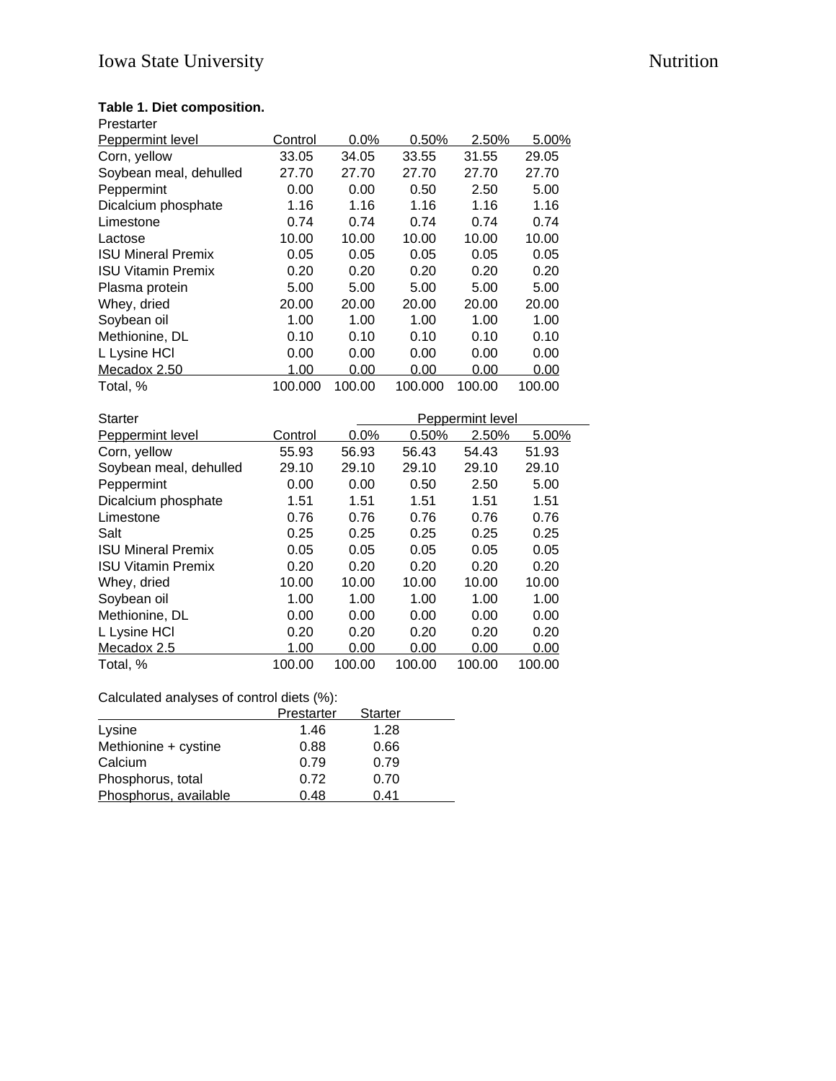## **Table 1. Diet composition.**

| Prestarter                |         |        |         |        |        |
|---------------------------|---------|--------|---------|--------|--------|
| Peppermint level          | Control | 0.0%   | 0.50%   | 2.50%  | 5.00%  |
| Corn, yellow              | 33.05   | 34.05  | 33.55   | 31.55  | 29.05  |
| Soybean meal, dehulled    | 27.70   | 27.70  | 27.70   | 27.70  | 27.70  |
| Peppermint                | 0.00    | 0.00   | 0.50    | 2.50   | 5.00   |
| Dicalcium phosphate       | 1.16    | 1.16   | 1.16    | 1.16   | 1.16   |
| Limestone                 | 0.74    | 0.74   | 0.74    | 0.74   | 0.74   |
| Lactose                   | 10.00   | 10.00  | 10.00   | 10.00  | 10.00  |
| <b>ISU Mineral Premix</b> | 0.05    | 0.05   | 0.05    | 0.05   | 0.05   |
| <b>ISU Vitamin Premix</b> | 0.20    | 0.20   | 0.20    | 0.20   | 0.20   |
| Plasma protein            | 5.00    | 5.00   | 5.00    | 5.00   | 5.00   |
| Whey, dried               | 20.00   | 20.00  | 20.00   | 20.00  | 20.00  |
| Soybean oil               | 1.00    | 1.00   | 1.00    | 1.00   | 1.00   |
| Methionine, DL            | 0.10    | 0.10   | 0.10    | 0.10   | 0.10   |
| L Lysine HCI              | 0.00    | 0.00   | 0.00    | 0.00   | 0.00   |
| Mecadox 2.50              | 1.00    | 0.00   | 0.00    | 0.00   | 0.00   |
| Total, %                  | 100.000 | 100.00 | 100.000 | 100.00 | 100.00 |
|                           |         |        |         |        |        |

| <b>Starter</b>            |         |        | Peppermint level |        |        |  |
|---------------------------|---------|--------|------------------|--------|--------|--|
| <b>Peppermint level</b>   | Control | 0.0%   | 0.50%            | 2.50%  | 5.00%  |  |
| Corn, yellow              | 55.93   | 56.93  | 56.43            | 54.43  | 51.93  |  |
| Soybean meal, dehulled    | 29.10   | 29.10  | 29.10            | 29.10  | 29.10  |  |
| Peppermint                | 0.00    | 0.00   | 0.50             | 2.50   | 5.00   |  |
| Dicalcium phosphate       | 1.51    | 1.51   | 1.51             | 1.51   | 1.51   |  |
| Limestone                 | 0.76    | 0.76   | 0.76             | 0.76   | 0.76   |  |
| Salt                      | 0.25    | 0.25   | 0.25             | 0.25   | 0.25   |  |
| <b>ISU Mineral Premix</b> | 0.05    | 0.05   | 0.05             | 0.05   | 0.05   |  |
| <b>ISU Vitamin Premix</b> | 0.20    | 0.20   | 0.20             | 0.20   | 0.20   |  |
| Whey, dried               | 10.00   | 10.00  | 10.00            | 10.00  | 10.00  |  |
| Soybean oil               | 1.00    | 1.00   | 1.00             | 1.00   | 1.00   |  |
| Methionine, DL            | 0.00    | 0.00   | 0.00             | 0.00   | 0.00   |  |
| L Lysine HCI              | 0.20    | 0.20   | 0.20             | 0.20   | 0.20   |  |
| Mecadox 2.5               | 1.00    | 0.00   | 0.00             | 0.00   | 0.00   |  |
| Total, %                  | 100.00  | 100.00 | 100.00           | 100.00 | 100.00 |  |

## Calculated analyses of control diets (%):

|                       | Prestarter | <b>Starter</b> |
|-----------------------|------------|----------------|
| Lysine                | 1.46       | 1.28           |
| Methionine + cystine  | 0.88       | 0.66           |
| Calcium               | 0.79       | 0.79           |
| Phosphorus, total     | 0.72       | 0.70           |
| Phosphorus, available | 0.48       | 0.41           |